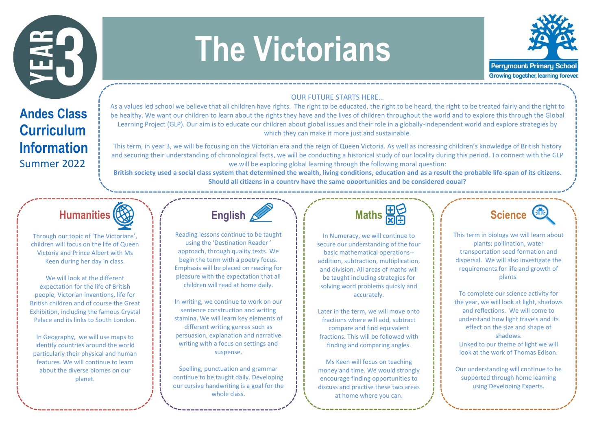

## **The Victorians**



## OUR FUTURE STARTS HERE…

**Andes Class Curriculum Information** Summer 2022

As a values led school we believe that all children have rights. The right to be educated, the right to be heard, the right to be treated fairly and the right to be healthy. We want our children to learn about the rights they have and the lives of children throughout the world and to explore this through the Global Learning Project (GLP). Our aim is to educate our children about global issues and their role in a globally-independent world and explore strategies by which they can make it more just and sustainable.

This term, in year 3, we will be focusing on the Victorian era and the reign of Queen Victoria. As well as increasing children's knowledge of British history and securing their understanding of chronological facts, we will be conducting a historical study of our locality during this period. To connect with the GLP we will be exploring global learning through the following moral question:

**British society used a social class system that determined the wealth, living conditions, education and as a result the probable life-span of its citizens. Should all citizens in a country have the same opportunities and be considered equal?**



Through our topic of 'The Victorians', children will focus on the life of Queen Victoria and Prince Albert with Ms Keen during her day in class.

We will look at the different expectation for the life of British people, Victorian inventions, life for British children and of course the Great Exhibition, including the famous Crystal Palace and its links to South London.

In Geography, we will use maps to identify countries around the world particularly their physical and human features. We will continue to learn about the diverse biomes on our planet.



Reading lessons continue to be taught using the 'Destination Reader ' approach, through quality texts. We begin the term with a poetry focus. Emphasis will be placed on reading for pleasure with the expectation that all children will read at home daily.

In writing, we continue to work on our sentence construction and writing stamina. We will learn key elements of different writing genres such as persuasion, explanation and narrative writing with a focus on settings and suspense.

Spelling, punctuation and grammar continue to be taught daily. Developing our cursive handwriting is a goal for the whole class.



In Numeracy, we will continue to secure our understanding of the four basic mathematical operations- addition, subtraction, multiplication, and division. All areas of maths will be taught including strategies for solving word problems quickly and accurately.

Later in the term, we will move onto fractions where will add, subtract compare and find equivalent fractions. This will be followed with finding and comparing angles.

Ms Keen will focus on teaching money and time. We would strongly encourage finding opportunities to discuss and practise these two areas at home where you can.



This term in biology we will learn about plants; pollination, water transportation seed formation and dispersal. We will also investigate the requirements for life and growth of plants.

To complete our science activity for the year, we will look at light, shadows and reflections. We will come to understand how light travels and its effect on the size and shape of shadows. Linked to our theme of light we will look at the work of Thomas Edison.

Our understanding will continue to be supported through home learning using Developing Experts.